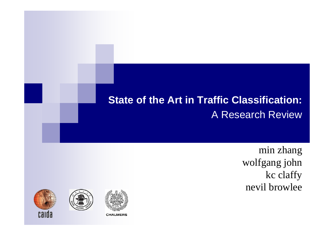#### **State of the Art in Traffic Classification: A Research Review**

min zhang wolfgang john kc claffy nevil browlee



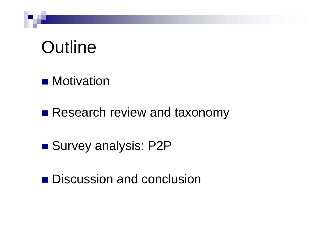# **Outline**

- Motivation
- Research review and taxonomy
- Survey analysis: P2P
- Discussion and conclusion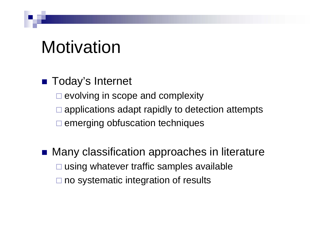# Motivation

- Today's Internet
	- $\square$  evolving in scope and complexity
	- $\Box$ applications adapt rapidly to detection attempts
	- $\square$  emerging obfuscation techniques
- Many classification approaches in literature **□ using whatever traffic samples available** □ no systematic integration of results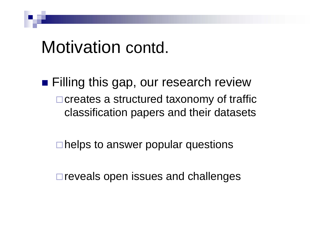## Motivation contd.

■ Filling this gap, our research review  $\Box$  creates a structured taxonomy of traffic classification papers and their datasets

**□helps to answer popular questions** 

 $\Box$  reveals open issues and challenges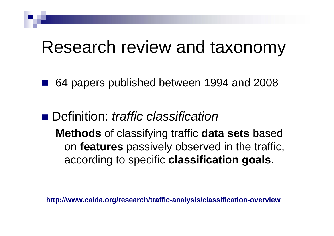## Research review and taxonomy

- 64 papers published between 1994 and 2008
- Definition: *traffic classification* **Methods** of classifying traffic **data sets** based on **features** passively observed in the traffic, according to specific **classification goals.**

**http://www.caida.org/research/traffic-analysis/classification-overview**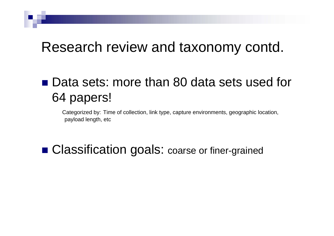## Research review and taxonomy contd.

## ■ Data sets: more than 80 data sets used for 64 papers!

Categorized by: Time of collection, link type, capture environments, geographic location, payload length, etc

### ■ Classification goals: coarse or finer-grained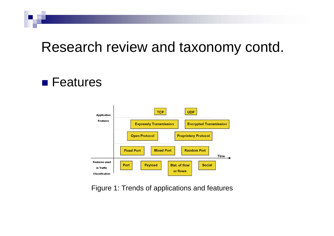## Research review and taxonomy contd.

#### **E** Features



Figure 1: Trends of applications and features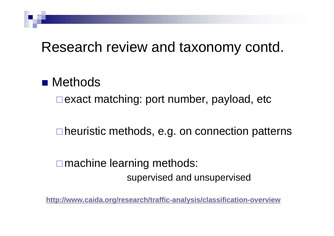## Research review and taxonomy contd.

#### ■ Methods

 $\Box$  exact matching: port number, payload, etc

□ heuristic methods, e.g. on connection patterns

**□** machine learning methods: supervised and unsupervised

**[http://www.caida.org/research/traffic-analysis/classification-overview](http://www.caida.org/research/traffic-analysis/classification-overview/)**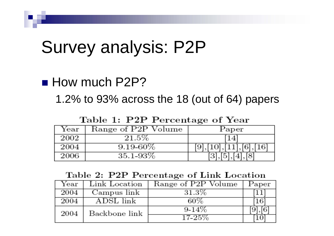# Survey analysis: P2P

#### **How much P2P?**

1.2% to 93% across the 18 (out of 64) papers

Table 1: P2P Percentage of Year

| Year | Range of P2P Volume | Paper |
|------|---------------------|-------|
| 2002 | $21.5\%$            |       |
| 2004 | $9.19 - 60\%$       |       |
| 2006 | $35.1 - 93\%$       |       |

#### Table 2: P2P Percentage of Link Location

| Year | Link Location | Range of P2P Volume | Paper |
|------|---------------|---------------------|-------|
| 2004 | Campus link   | $31.3\%$            |       |
| 2004 | ADSL link     | 60%                 |       |
| 2004 | Backbone link | $9-14%$             |       |
|      |               | 17-25%              |       |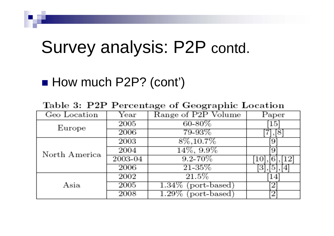# Survey analysis: P2P contd.

## ■ How much P2P? (cont')

Table 3: P2P Percentage of Geographic Location

| Geo Location  | $\operatorname{Year}$ | Range of P2P Volume      | Paper |
|---------------|-----------------------|--------------------------|-------|
| Europe        | 2005                  | $60 - 80\%$              | 15    |
|               | 2006                  | 79-93%                   |       |
|               | 2003                  | $8\%, 10.7\%$            |       |
| North America | 2004                  | $14\%, 9.9\%$            |       |
|               | $2003 - 04$           | $9.2 - 70\%$             |       |
|               | 2006                  | $21 - 35\%$              |       |
|               | 2002                  | 21.5%                    | 14    |
| Asia          | 2005                  | $1.34\%$ (port-based)    |       |
|               | 2008                  | $1.29\%$<br>(port-based) |       |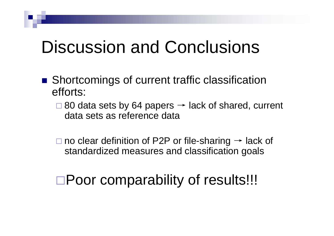# Discussion and Conclusions

- Shortcomings of current traffic classification efforts:
	- $\Box$  80 data sets by 64 papers  $\rightarrow$  lack of shared, current data sets as reference data

 $\square$  no clear definition of P2P or file-sharing  $\rightarrow$  lack of standardized measures and classification goals

□Poor comparability of results!!!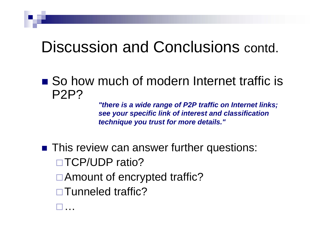## Discussion and Conclusions contd.

■ So how much of modern Internet traffic is P2P?

> *"there is a wide range of P2P traffic on Internet links; see your specific link of interest and classification technique you trust for more details."*

**This review can answer further questions:** □TCP/UDP ratio? □ Amount of encrypted traffic? □ Tunneled traffic?

 $\Box$ …